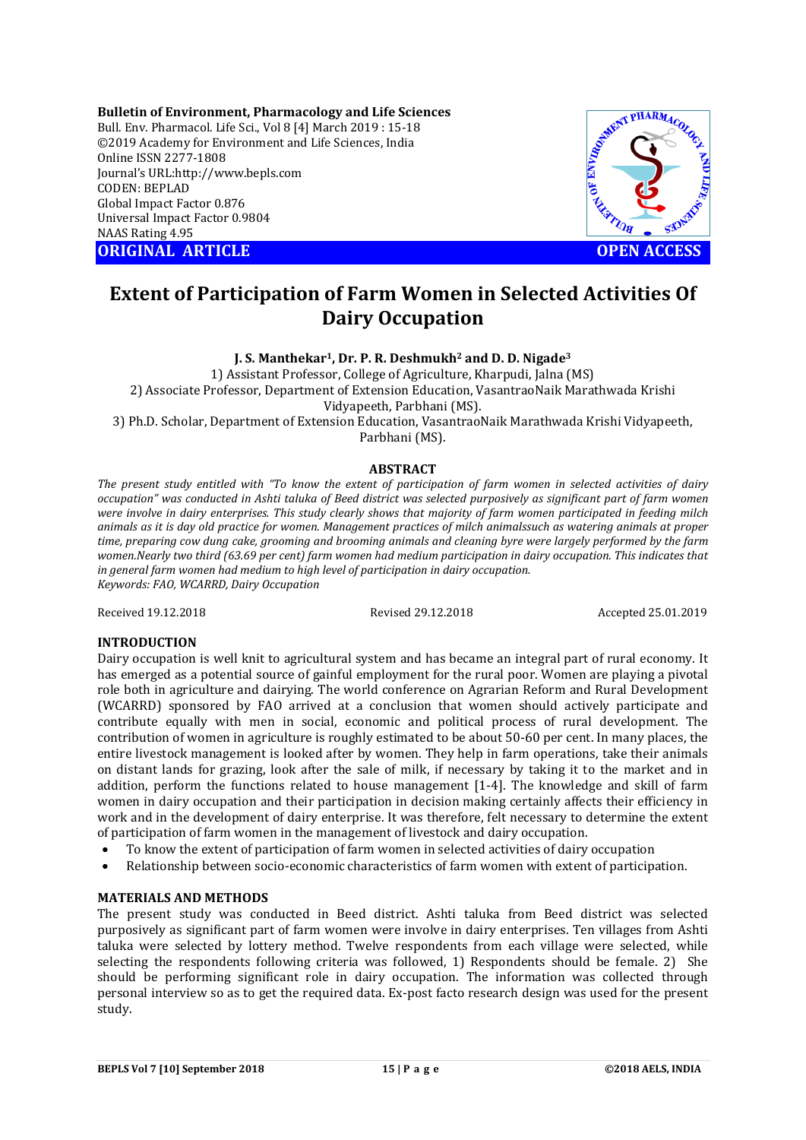**Bulletin of Environment, Pharmacology and Life Sciences** Bull. Env. Pharmacol. Life Sci., Vol 8 [4] March 2019 : 15-18 ©2019 Academy for Environment and Life Sciences, India Online ISSN 2277-1808 Journal's URL:http://www.bepls.com CODEN: BEPLAD Global Impact Factor 0.876 Universal Impact Factor 0.9804 NAAS Rating 4.95 **ORIGINAL ARTICLE OPEN ACCESS** 



# **Extent of Participation of Farm Women in Selected Activities Of Dairy Occupation**

**J. S. Manthekar1, Dr. P. R. Deshmukh2 and D. D. Nigade3**

1) Assistant Professor, College of Agriculture, Kharpudi, Jalna (MS)

2) Associate Professor, Department of Extension Education, VasantraoNaik Marathwada Krishi Vidyapeeth, Parbhani (MS).

3) Ph.D. Scholar, Department of Extension Education, VasantraoNaik Marathwada Krishi Vidyapeeth, Parbhani (MS).

# **ABSTRACT**

*The present study entitled with "To know the extent of participation of farm women in selected activities of dairy occupation" was conducted in Ashti taluka of Beed district was selected purposively as significant part of farm women were involve in dairy enterprises. This study clearly shows that majority of farm women participated in feeding milch animals as it is day old practice for women. Management practices of milch animalssuch as watering animals at proper time, preparing cow dung cake, grooming and brooming animals and cleaning byre were largely performed by the farm women.Nearly two third (63.69 per cent) farm women had medium participation in dairy occupation. This indicates that in general farm women had medium to high level of participation in dairy occupation. Keywords: FAO, WCARRD, Dairy Occupation* 

Received 19.12.2018 Revised 29.12.2018 Accepted 25.01.2019

# **INTRODUCTION**

Dairy occupation is well knit to agricultural system and has became an integral part of rural economy. It has emerged as a potential source of gainful employment for the rural poor. Women are playing a pivotal role both in agriculture and dairying. The world conference on Agrarian Reform and Rural Development (WCARRD) sponsored by FAO arrived at a conclusion that women should actively participate and contribute equally with men in social, economic and political process of rural development. The contribution of women in agriculture is roughly estimated to be about 50-60 per cent. In many places, the entire livestock management is looked after by women. They help in farm operations, take their animals on distant lands for grazing, look after the sale of milk, if necessary by taking it to the market and in addition, perform the functions related to house management [1-4]. The knowledge and skill of farm women in dairy occupation and their participation in decision making certainly affects their efficiency in work and in the development of dairy enterprise. It was therefore, felt necessary to determine the extent of participation of farm women in the management of livestock and dairy occupation.

- To know the extent of participation of farm women in selected activities of dairy occupation
- Relationship between socio-economic characteristics of farm women with extent of participation.

### **MATERIALS AND METHODS**

The present study was conducted in Beed district. Ashti taluka from Beed district was selected purposively as significant part of farm women were involve in dairy enterprises. Ten villages from Ashti taluka were selected by lottery method. Twelve respondents from each village were selected, while selecting the respondents following criteria was followed, 1) Respondents should be female. 2) She should be performing significant role in dairy occupation. The information was collected through personal interview so as to get the required data. Ex-post facto research design was used for the present study.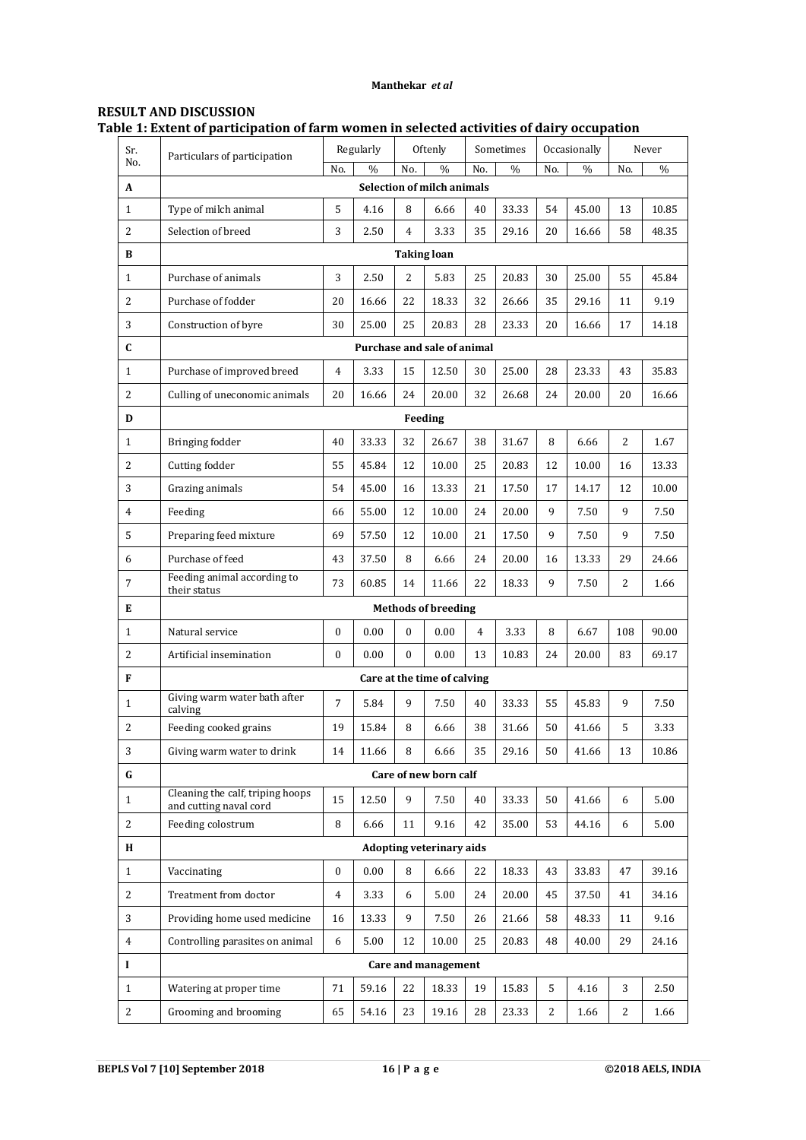## **Manthekar** *et al*

# **RESULT AND DISCUSSION Table 1: Extent of participation of farm women in selected activities of dairy occupation**

| Sr.            | Particulars of participation                               | Regularly<br>Oftenly |                      |                | Sometimes                       |    | Occasionally |      | Never |     |       |
|----------------|------------------------------------------------------------|----------------------|----------------------|----------------|---------------------------------|----|--------------|------|-------|-----|-------|
| No.            | $\frac{0}{0}$<br>$\frac{0}{0}$<br>No.<br>No.               |                      | No.<br>$\frac{0}{0}$ |                | No.<br>$\%$                     |    | No.          | $\%$ |       |     |       |
| A              | <b>Selection of milch animals</b>                          |                      |                      |                |                                 |    |              |      |       |     |       |
| $\mathbf{1}$   | Type of milch animal                                       | 5                    | 4.16                 | 8              | 6.66                            | 40 | 33.33        | 54   | 45.00 | 13  | 10.85 |
| $\overline{2}$ | Selection of breed                                         | 3                    | 2.50                 | $\overline{4}$ | 3.33                            | 35 | 29.16        | 20   | 16.66 | 58  | 48.35 |
| B              | Taking loan                                                |                      |                      |                |                                 |    |              |      |       |     |       |
| $\mathbf{1}$   | Purchase of animals                                        | 3                    | 2.50                 | 2              | 5.83                            | 25 | 20.83        | 30   | 25.00 | 55  | 45.84 |
| $\overline{2}$ | Purchase of fodder                                         | 20                   | 16.66                | 22             | 18.33                           | 32 | 26.66        | 35   | 29.16 | 11  | 9.19  |
| 3              | Construction of byre                                       | 30                   | 25.00                | 25             | 20.83                           | 28 | 23.33        | 20   | 16.66 | 17  | 14.18 |
| C              | Purchase and sale of animal                                |                      |                      |                |                                 |    |              |      |       |     |       |
| $\mathbf{1}$   | Purchase of improved breed                                 | $\overline{4}$       | 3.33                 | 15             | 12.50                           | 30 | 25.00        | 28   | 23.33 | 43  | 35.83 |
| 2              | Culling of uneconomic animals                              | 20                   | 16.66                | 24             | 20.00                           | 32 | 26.68        | 24   | 20.00 | 20  | 16.66 |
| D              | Feeding                                                    |                      |                      |                |                                 |    |              |      |       |     |       |
| $\mathbf{1}$   | Bringing fodder                                            | 40                   | 33.33                | 32             | 26.67                           | 38 | 31.67        | 8    | 6.66  | 2   | 1.67  |
| 2              | Cutting fodder                                             | 55                   | 45.84                | 12             | 10.00                           | 25 | 20.83        | 12   | 10.00 | 16  | 13.33 |
| 3              | Grazing animals                                            | 54                   | 45.00                | 16             | 13.33                           | 21 | 17.50        | 17   | 14.17 | 12  | 10.00 |
| 4              | Feeding                                                    | 66                   | 55.00                | 12             | 10.00                           | 24 | 20.00        | 9    | 7.50  | 9   | 7.50  |
| 5              | Preparing feed mixture                                     | 69                   | 57.50                | 12             | 10.00                           | 21 | 17.50        | 9    | 7.50  | 9   | 7.50  |
| 6              | Purchase of feed                                           | 43                   | 37.50                | 8              | 6.66                            | 24 | 20.00        | 16   | 13.33 | 29  | 24.66 |
| 7              | Feeding animal according to<br>their status                | 73                   | 60.85                | 14             | 11.66                           | 22 | 18.33        | 9    | 7.50  | 2   | 1.66  |
| E              |                                                            |                      |                      |                | <b>Methods of breeding</b>      |    |              |      |       |     |       |
| 1              | Natural service                                            | 0                    | 0.00                 | $\overline{0}$ | 0.00                            | 4  | 3.33         | 8    | 6.67  | 108 | 90.00 |
| 2              | Artificial insemination                                    | $\bf{0}$             | 0.00                 | $\mathbf{0}$   | 0.00                            | 13 | 10.83        | 24   | 20.00 | 83  | 69.17 |
| F              |                                                            |                      |                      |                | Care at the time of calving     |    |              |      |       |     |       |
| $\mathbf{1}$   | Giving warm water bath after<br>calving                    | $\overline{7}$       | 5.84                 | 9              | 7.50                            | 40 | 33.33        | 55   | 45.83 | 9   | 7.50  |
| 2              | Feeding cooked grains                                      | 19                   | 15.84                | 8              | 6.66                            | 38 | 31.66        | 50   | 41.66 | 5   | 3.33  |
| 3              | Giving warm water to drink                                 | 14                   | 11.66                | 8              | 6.66                            | 35 | 29.16        | 50   | 41.66 | 13  | 10.86 |
| $\bf G$        |                                                            |                      |                      |                | Care of new born calf           |    |              |      |       |     |       |
| $\mathbf{1}$   | Cleaning the calf, triping hoops<br>and cutting naval cord | 15                   | 12.50                | 9              | 7.50                            | 40 | 33.33        | 50   | 41.66 | 6   | 5.00  |
| $\overline{c}$ | Feeding colostrum                                          | 8                    | 6.66                 | 11             | 9.16                            | 42 | 35.00        | 53   | 44.16 | 6   | 5.00  |
| H              |                                                            |                      |                      |                | <b>Adopting veterinary aids</b> |    |              |      |       |     |       |
| $\mathbf{1}$   | Vaccinating                                                | 0                    | 0.00                 | 8              | 6.66                            | 22 | 18.33        | 43   | 33.83 | 47  | 39.16 |
| $\sqrt{2}$     | Treatment from doctor                                      | 4                    | 3.33                 | 6              | 5.00                            | 24 | 20.00        | 45   | 37.50 | 41  | 34.16 |
| 3              | Providing home used medicine                               | 16                   | 13.33                | 9              | 7.50                            | 26 | 21.66        | 58   | 48.33 | 11  | 9.16  |
| 4              | Controlling parasites on animal                            | 6                    | 5.00                 | 12             | 10.00                           | 25 | 20.83        | 48   | 40.00 | 29  | 24.16 |
| $\bf I$        | Care and management                                        |                      |                      |                |                                 |    |              |      |       |     |       |
| $\mathbf{1}$   | Watering at proper time                                    | 71                   | 59.16                | 22             | 18.33                           | 19 | 15.83        | 5    | 4.16  | 3   | 2.50  |
| $\overline{c}$ | Grooming and brooming                                      | 65                   | 54.16                | 23             | 19.16                           | 28 | 23.33        | 2    | 1.66  | 2   | 1.66  |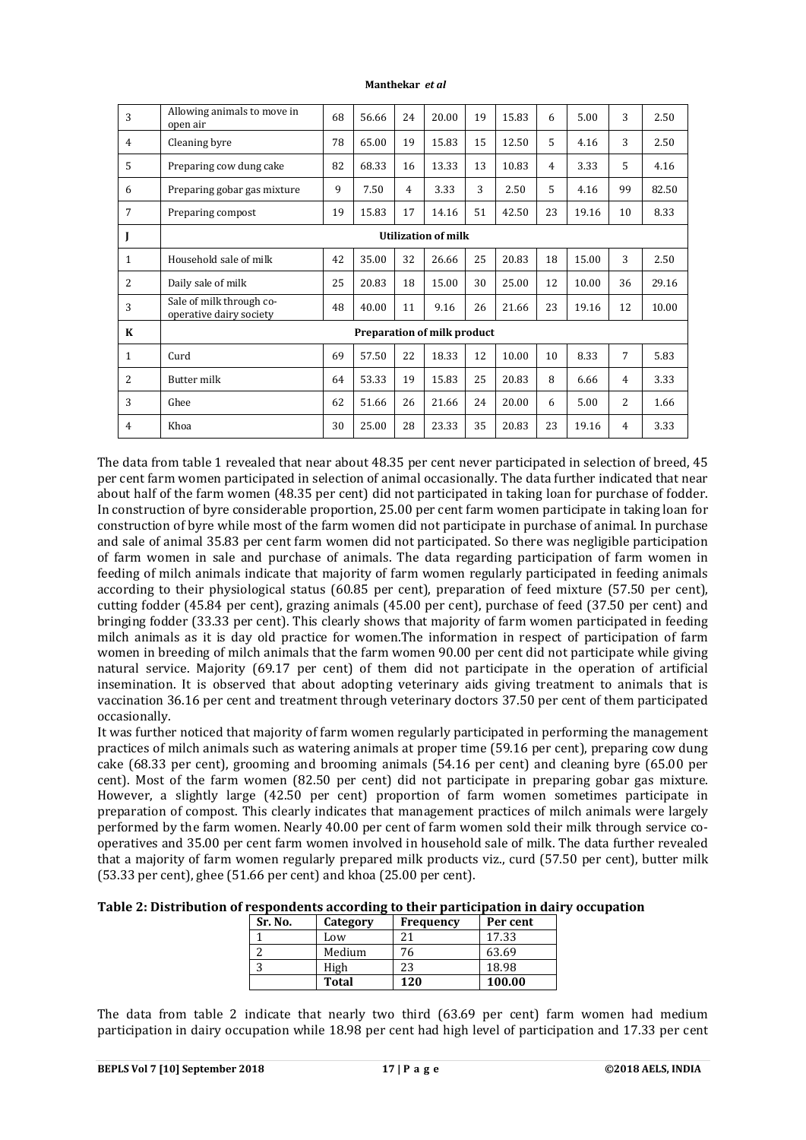#### **Manthekar** *et al*

| Allowing animals to move in<br>open air             | 68 | 56.66 | 24             | 20.00 | 19 | 15.83 | 6  | 5.00  | 3  | 2.50  |
|-----------------------------------------------------|----|-------|----------------|-------|----|-------|----|-------|----|-------|
| Cleaning byre                                       | 78 | 65.00 | 19             | 15.83 | 15 | 12.50 | 5  | 4.16  | 3  | 2.50  |
| Preparing cow dung cake                             | 82 | 68.33 | 16             | 13.33 | 13 | 10.83 | 4  | 3.33  | 5  | 4.16  |
| Preparing gobar gas mixture                         | 9  | 7.50  | $\overline{4}$ | 3.33  | 3  | 2.50  | 5  | 4.16  | 99 | 82.50 |
| Preparing compost                                   | 19 | 15.83 | 17             | 14.16 | 51 | 42.50 | 23 | 19.16 | 10 | 8.33  |
| <b>Utilization of milk</b>                          |    |       |                |       |    |       |    |       |    |       |
| Household sale of milk                              | 42 | 35.00 | 32             | 26.66 | 25 | 20.83 | 18 | 15.00 | 3  | 2.50  |
| Daily sale of milk                                  | 25 | 20.83 | 18             | 15.00 | 30 | 25.00 | 12 | 10.00 | 36 | 29.16 |
| Sale of milk through co-<br>operative dairy society | 48 | 40.00 | 11             | 9.16  | 26 | 21.66 | 23 | 19.16 | 12 | 10.00 |
| <b>Preparation of milk product</b>                  |    |       |                |       |    |       |    |       |    |       |
| Curd                                                | 69 | 57.50 | 22             | 18.33 | 12 | 10.00 | 10 | 8.33  | 7  | 5.83  |
| <b>Butter milk</b>                                  | 64 | 53.33 | 19             | 15.83 | 25 | 20.83 | 8  | 6.66  | 4  | 3.33  |
| Ghee                                                | 62 | 51.66 | 26             | 21.66 | 24 | 20.00 | 6  | 5.00  | 2  | 1.66  |
| Khoa                                                | 30 | 25.00 | 28             | 23.33 | 35 | 20.83 | 23 | 19.16 | 4  | 3.33  |
|                                                     |    |       |                |       |    |       |    |       |    |       |

The data from table 1 revealed that near about 48.35 per cent never participated in selection of breed, 45 per cent farm women participated in selection of animal occasionally. The data further indicated that near about half of the farm women (48.35 per cent) did not participated in taking loan for purchase of fodder. In construction of byre considerable proportion, 25.00 per cent farm women participate in taking loan for construction of byre while most of the farm women did not participate in purchase of animal. In purchase and sale of animal 35.83 per cent farm women did not participated. So there was negligible participation of farm women in sale and purchase of animals. The data regarding participation of farm women in feeding of milch animals indicate that majority of farm women regularly participated in feeding animals according to their physiological status (60.85 per cent), preparation of feed mixture (57.50 per cent), cutting fodder (45.84 per cent), grazing animals (45.00 per cent), purchase of feed (37.50 per cent) and bringing fodder (33.33 per cent). This clearly shows that majority of farm women participated in feeding milch animals as it is day old practice for women.The information in respect of participation of farm women in breeding of milch animals that the farm women 90.00 per cent did not participate while giving natural service. Majority (69.17 per cent) of them did not participate in the operation of artificial insemination. It is observed that about adopting veterinary aids giving treatment to animals that is vaccination 36.16 per cent and treatment through veterinary doctors 37.50 per cent of them participated occasionally.

It was further noticed that majority of farm women regularly participated in performing the management practices of milch animals such as watering animals at proper time (59.16 per cent), preparing cow dung cake (68.33 per cent), grooming and brooming animals (54.16 per cent) and cleaning byre (65.00 per cent). Most of the farm women (82.50 per cent) did not participate in preparing gobar gas mixture. However, a slightly large (42.50 per cent) proportion of farm women sometimes participate in preparation of compost. This clearly indicates that management practices of milch animals were largely performed by the farm women. Nearly 40.00 per cent of farm women sold their milk through service cooperatives and 35.00 per cent farm women involved in household sale of milk. The data further revealed that a majority of farm women regularly prepared milk products viz., curd (57.50 per cent), butter milk (53.33 per cent), ghee (51.66 per cent) and khoa (25.00 per cent).

| Table 2: Distribution of respondents according to their participation in dairy occupation |                                                |  |  |
|-------------------------------------------------------------------------------------------|------------------------------------------------|--|--|
|                                                                                           | <b>Cu No.   Cotogoury   Engangeral Dongont</b> |  |  |

| Sr. No. | Category | <b>Frequency</b> | Per cent |
|---------|----------|------------------|----------|
|         | Low      | 21               | 17.33    |
|         | Medium   | 76               | 63.69    |
|         | High     | 23               | 18.98    |
|         | Total    | 120              | 100.00   |

The data from table 2 indicate that nearly two third (63.69 per cent) farm women had medium participation in dairy occupation while 18.98 per cent had high level of participation and 17.33 per cent